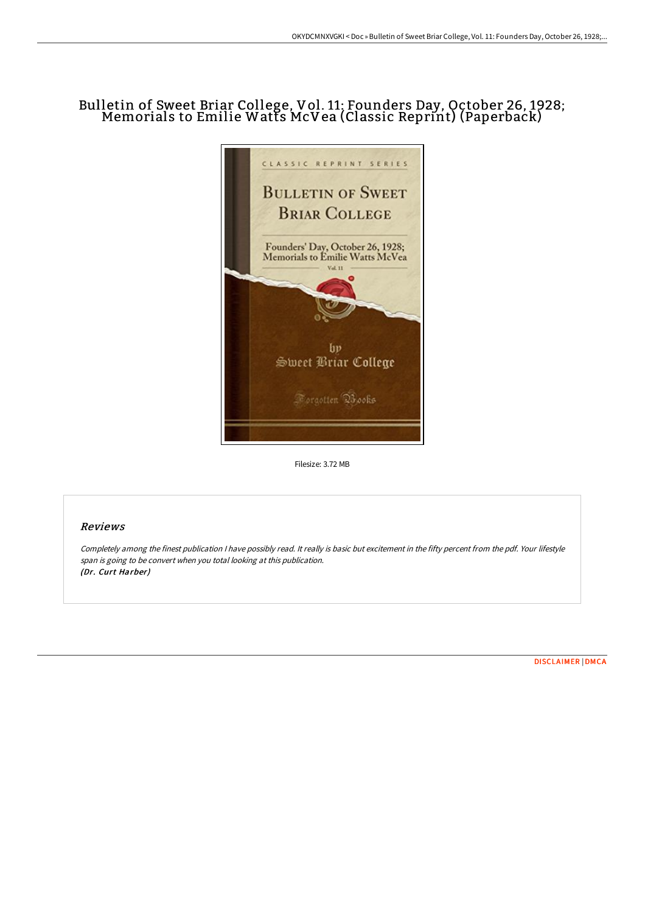## Bulletin of Sweet Briar College, Vol. 11: Founders Day, October 26, 1928; Memorials to Emilie Watts McVea (Classic Reprint) (Paperback)



Filesize: 3.72 MB

## Reviews

Completely among the finest publication <sup>I</sup> have possibly read. It really is basic but excitement in the fifty percent from the pdf. Your lifestyle span is going to be convert when you total looking at this publication. (Dr. Curt Harber)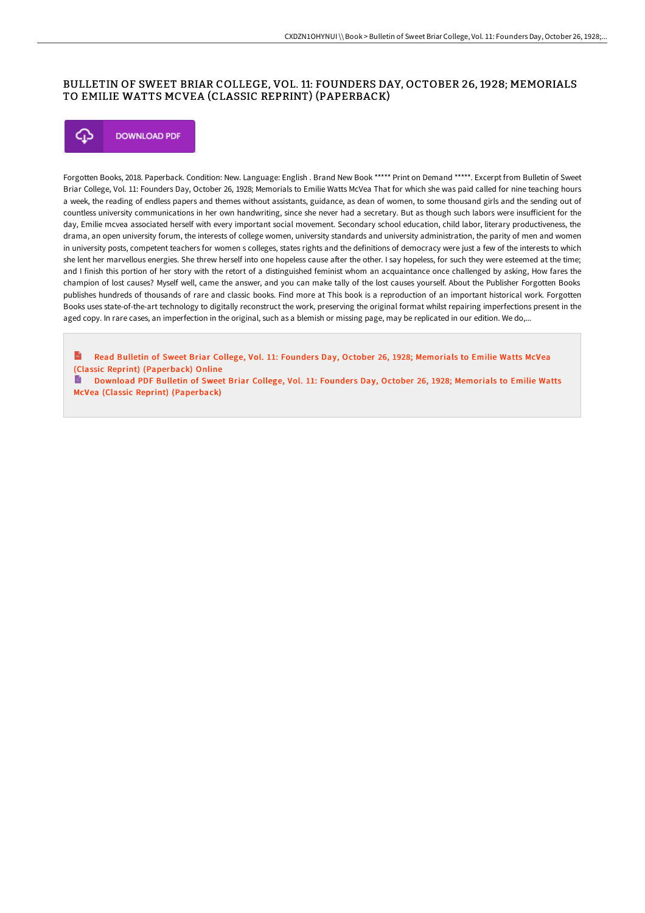## BULLETIN OF SWEET BRIAR COLLEGE, VOL. 11: FOUNDERS DAY, OCTOBER 26, 1928; MEMORIALS TO EMILIE WATTS MCVEA (CLASSIC REPRINT) (PAPERBACK)



Forgotten Books, 2018. Paperback. Condition: New. Language: English . Brand New Book \*\*\*\*\* Print on Demand \*\*\*\*\*. Excerpt from Bulletin of Sweet Briar College, Vol. 11: Founders Day, October 26, 1928; Memorials to Emilie Watts McVea That for which she was paid called for nine teaching hours a week, the reading of endless papers and themes without assistants, guidance, as dean of women, to some thousand girls and the sending out of countless university communications in her own handwriting, since she never had a secretary. But as though such labors were insuFicient for the day, Emilie mcvea associated herself with every important social movement. Secondary school education, child labor, literary productiveness, the drama, an open university forum, the interests of college women, university standards and university administration, the parity of men and women in university posts, competent teachers for women s colleges, states rights and the definitions of democracy were just a few of the interests to which she lent her marvellous energies. She threw herself into one hopeless cause after the other. I say hopeless, for such they were esteemed at the time; and I finish this portion of her story with the retort of a distinguished feminist whom an acquaintance once challenged by asking, How fares the champion of lost causes? Myself well, came the answer, and you can make tally of the lost causes yourself. About the Publisher Forgotten Books publishes hundreds of thousands of rare and classic books. Find more at This book is a reproduction of an important historical work. Forgotten Books uses state-of-the-art technology to digitally reconstruct the work, preserving the original format whilst repairing imperfections present in the aged copy. In rare cases, an imperfection in the original, such as a blemish or missing page, may be replicated in our edition. We do,...

 $\mathbf{r}$ Read Bulletin of Sweet Briar College, Vol. 11: Founders Day, October 26, 1928; Memorials to Emilie Watts McVea (Classic Reprint) [\(Paperback\)](http://techno-pub.tech/bulletin-of-sweet-briar-college-vol-11-founders-.html) Online

D. Download PDF Bulletin of Sweet Briar College, Vol. 11: Founders Day, October 26, 1928; Memorials to Emilie Watts McVea (Classic Reprint) [\(Paperback\)](http://techno-pub.tech/bulletin-of-sweet-briar-college-vol-11-founders-.html)